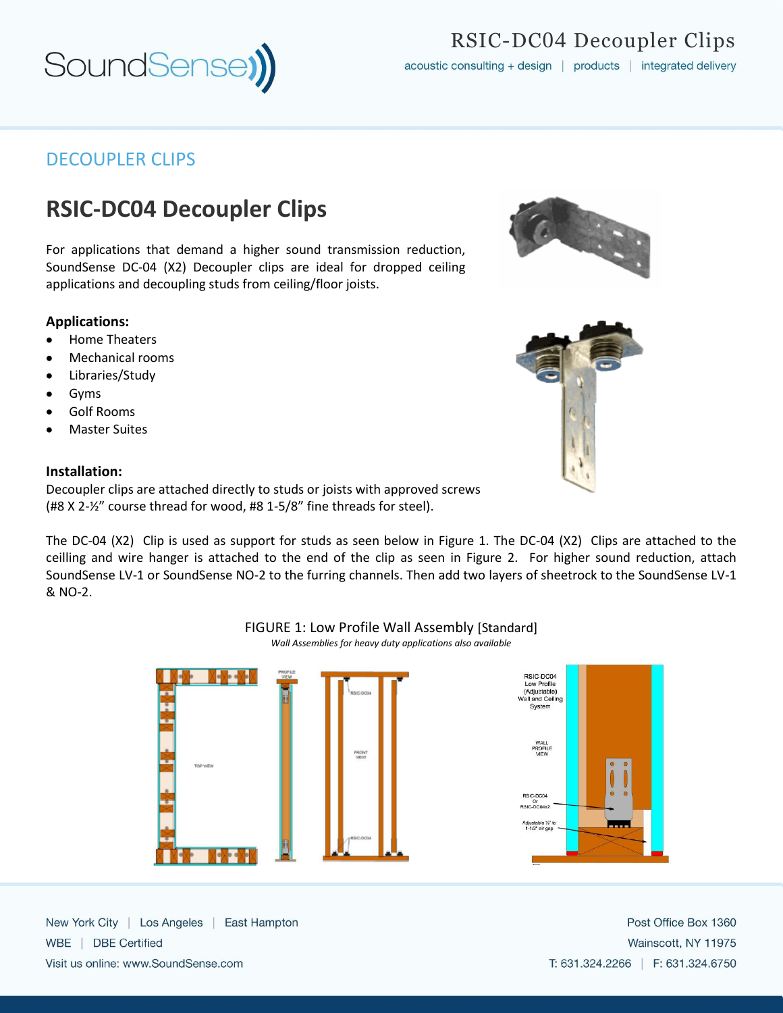

## DECOUPLER CLIPS

# **RSIC-DC04 Decoupler Clips**

For applications that demand a higher sound transmission reduction, SoundSense DC-04 (X2) Decoupler clips are ideal for dropped ceiling applications and decoupling studs from ceiling/floor joists.

## **Applications:**

- Home Theaters
- Mechanical rooms
- Libraries/Study
- Gyms
- Golf Rooms
- Master Suites

#### **Installation:**

Decoupler clips are attached directly to studs or joists with approved screws (#8 X 2-½" course thread for wood, #8 1-5/8" fine threads for steel).

The DC-04 (X2) Clip is used as support for studs as seen below in Figure 1. The DC-04 (X2) Clips are attached to the ceilling and wire hanger is attached to the end of the clip as seen in Figure 2. For higher sound reduction, attach SoundSense LV-1 or SoundSense NO-2 to the furring channels. Then add two layers of sheetrock to the SoundSense LV-1 & NO-2.



*Wall Assemblies for heavy duty applications also available*



New York City | Los Angeles | East Hampton WBE | DBE Certified Visit us online: www.SoundSense.com

Post Office Box 1360 Wainscott, NY 11975 T: 631.324.2266 | F: 631.324.6750